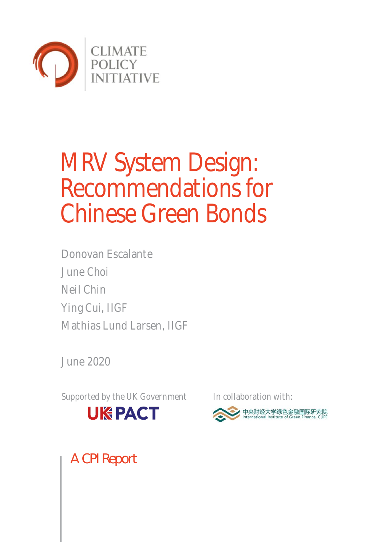

# MRV System Design: Recommendations for Chinese Green Bonds

Donovan Escalante June Choi Neil Chin Ying Cui, IIGF Mathias Lund Larsen, IIGF

June 2020

Supported by the UK Government In collaboration with:





A CPI Report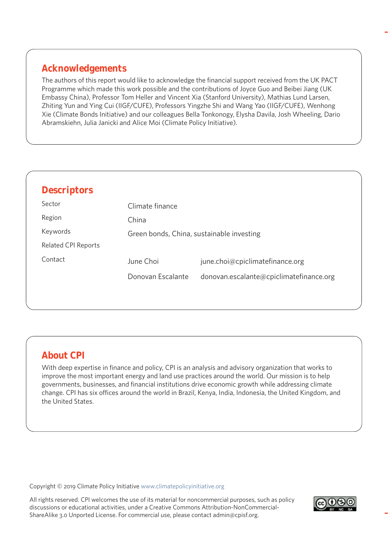## **Acknowledgements**

The authors of this report would like to acknowledge the financial support received from the UK PACT Programme which made this work possible and the contributions of Joyce Guo and Beibei Jiang (UK Embassy China), Professor Tom Heller and Vincent Xia (Stanford University), Mathias Lund Larsen, Zhiting Yun and Ying Cui (IIGF/CUFE), Professors Yingzhe Shi and Wang Yao (IIGF/CUFE), Wenhong Xie (Climate Bonds Initiative) and our colleagues Bella Tonkonogy, Elysha Davila, Josh Wheeling, Dario Abramskiehn, Julia Janicki and Alice Moi (Climate Policy Initiative).

| <b>Descriptors</b>         |                   |                                           |
|----------------------------|-------------------|-------------------------------------------|
| Sector                     | Climate finance   |                                           |
| Region                     | China             |                                           |
| Keywords                   |                   | Green bonds, China, sustainable investing |
| <b>Related CPI Reports</b> |                   |                                           |
| Contact                    | June Choi         | june.choi@cpiclimatefinance.org           |
|                            | Donovan Escalante | donovan.escalante@cpiclimatefinance.org   |

## **About CPI**

With deep expertise in finance and policy, CPI is an analysis and advisory organization that works to improve the most important energy and land use practices around the world. Our mission is to help governments, businesses, and financial institutions drive economic growth while addressing climate change. CPI has six offices around the world in Brazil, Kenya, India, Indonesia, the United Kingdom, and the United States.

Copyright © 2019 Climate Policy Initiative www.climatepolicyinitiative.org

All rights reserved. CPI welcomes the use of its material for noncommercial purposes, such as policy discussions or educational activities, under a Creative Commons Attribution-NonCommercial-ShareAlike 3.0 Unported License. For commercial use, please contact admin@cpisf.org.

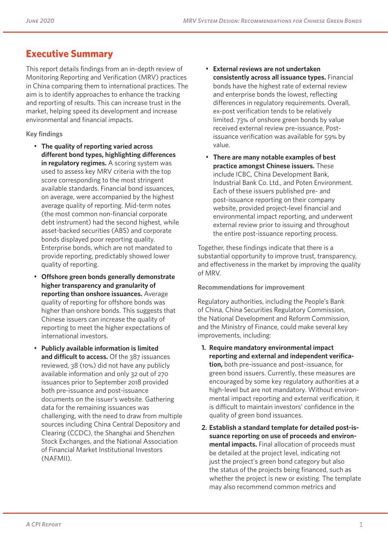## **Executive Summary**

This report details findings from an in-depth review of Monitoring Reporting and Verification (MRV) practices in China comparing them to international practices. The aim is to identify approaches to enhance the tracking and reporting of results. This can increase trust in the market, helping speed its development and increase environmental and financial impacts.

## **Key findings**

- **The quality of reporting varied across different bond types, highlighting differences in regulatory regimes.** A scoring system was used to assess key MRV criteria with the top score corresponding to the most stringent available standards. Financial bond issuances, on average, were accompanied by the highest average quality of reporting. Mid-term notes (the most common non-financial corporate debt instrument) had the second highest, while asset-backed securities (ABS) and corporate bonds displayed poor reporting quality. Enterprise bonds, which are not mandated to provide reporting, predictably showed lower quality of reporting.
- **Offshore green bonds generally demonstrate higher transparency and granularity of reporting than onshore issuances.** Average quality of reporting for offshore bonds was higher than onshore bonds. This suggests that Chinese issuers can increase the quality of reporting to meet the higher expectations of international investors.
- **Publicly available information is limited**  and difficult to access. Of the 387 issuances reviewed, 38 (10%) did not have any publicly available information and only 32 out of 270 issuances prior to September 2018 provided both pre-issuance and post-issuance documents on the issuer's website. Gathering data for the remaining issuances was challenging, with the need to draw from multiple sources including China Central Depository and Clearing (CCDC), the Shanghai and Shenzhen Stock Exchanges, and the National Association of Financial Market Institutional Investors (NAFMII).
- **External reviews are not undertaken consistently across all issuance types.** Financial bonds have the highest rate of external review and enterprise bonds the lowest, reflecting differences in regulatory requirements. Overall, ex-post verification tends to be relatively limited. 73% of onshore green bonds by value received external review pre-issuance. Postissuance verification was available for 59% by value.
- **There are many notable examples of best practice amongst Chinese issuers.** These include ICBC, China Development Bank, Industrial Bank Co. Ltd., and Poten Environment. Each of these issuers published pre- and post-issuance reporting on their company website, provided project-level financial and environmental impact reporting, and underwent external review prior to issuing and throughout the entire post-issuance reporting process.

Together, these findings indicate that there is a substantial opportunity to improve trust, transparency, and effectiveness in the market by improving the quality of MRV.

#### **Recommendations for improvement**

Regulatory authorities, including the People's Bank of China, China Securities Regulatory Commission, the National Development and Reform Commission, and the Ministry of Finance, could make several key improvements, including:

- **1. Require mandatory environmental impact reporting and external and independent verification,** both pre-issuance and post-issuance, for green bond issuers. Currently, these measures are encouraged by some key regulatory authorities at a high-level but are not mandatory. Without environmental impact reporting and external verification, it is difficult to maintain investors' confidence in the quality of green bond issuances.
- **2. Establish a standard template for detailed post-issuance reporting on use of proceeds and environmental impacts.** Final allocation of proceeds must be detailed at the project level, indicating not just the project's green bond category but also the status of the projects being financed, such as whether the project is new or existing. The template may also recommend common metrics and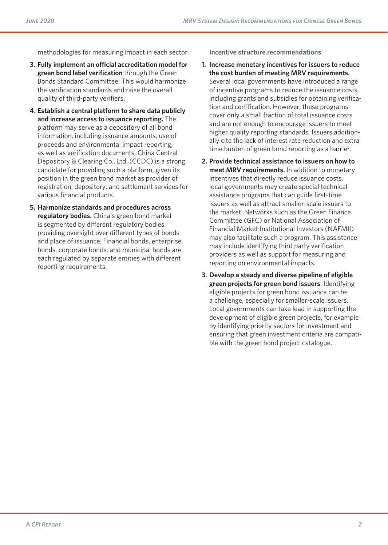methodologies for measuring impact in each sector.

- **3. Fully implement an official accreditation model for green bond label verification** through the Green Bonds Standard Committee. This would harmonize the verification standards and raise the overall quality of third-party verifiers.
- **4. Establish a central platform to share data publicly and increase access to issuance reporting.** The platform may serve as a depository of all bond information, including issuance amounts, use of proceeds and environmental impact reporting, as well as verification documents. China Central Depository & Clearing Co., Ltd. (CCDC) is a strong candidate for providing such a platform, given its position in the green bond market as provider of registration, depository, and settlement services for various financial products.
- **5. Harmonize standards and procedures across regulatory bodies.** China's green bond market is segmented by different regulatory bodies providing oversight over different types of bonds and place of issuance. Financial bonds, enterprise bonds, corporate bonds, and municipal bonds are each regulated by separate entities with different reporting requirements.

**Incentive structure recommendations**

- **1. Increase monetary incentives for issuers to reduce the cost burden of meeting MRV requirements.**  Several local governments have introduced a range of incentive programs to reduce the issuance costs, including grants and subsidies for obtaining verification and certification. However, these programs cover only a small fraction of total issuance costs and are not enough to encourage issuers to meet higher quality reporting standards. Issuers additionally cite the lack of interest rate reduction and extra time burden of green bond reporting as a barrier.
- **2. Provide technical assistance to issuers on how to meet MRV requirements.** In addition to monetary incentives that directly reduce issuance costs, local governments may create special technical assistance programs that can guide first-time issuers as well as attract smaller-scale issuers to the market. Networks such as the Green Finance Committee (GFC) or National Association of Financial Market Institutional Investors (NAFMII) may also facilitate such a program. This assistance may include identifying third party verification providers as well as support for measuring and reporting on environmental impacts.
- **3. Develop a steady and diverse pipeline of eligible green projects for green bond issuers**. Identifying eligible projects for green bond issuance can be a challenge, especially for smaller-scale issuers. Local governments can take lead in supporting the development of eligible green projects, for example by identifying priority sectors for investment and ensuring that green investment criteria are compatible with the green bond project catalogue.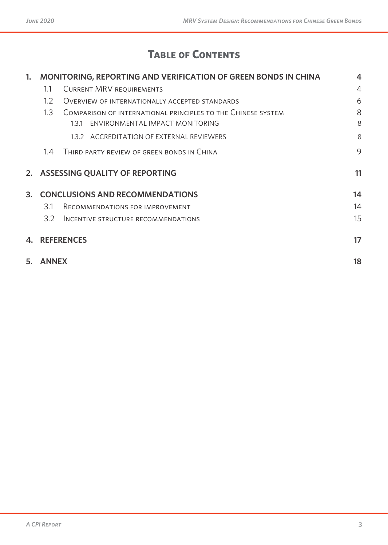# **Table of Contents**

| $\mathbf{1}$ . |                  | MONITORING, REPORTING AND VERIFICATION OF GREEN BONDS IN CHINA                                         | $\overline{\mathbf{4}}$ |
|----------------|------------------|--------------------------------------------------------------------------------------------------------|-------------------------|
|                | 1.1              | <b>CURRENT MRV REQUIREMENTS</b>                                                                        | $\overline{4}$          |
|                | $1.2\phantom{0}$ | OVERVIEW OF INTERNATIONALLY ACCEPTED STANDARDS                                                         | 6                       |
|                | 1.3              | COMPARISON OF INTERNATIONAL PRINCIPLES TO THE CHINESE SYSTEM<br>ENVIRONMENTAL IMPACT MONITORING<br>131 | 8<br>8                  |
|                |                  | 1.3.2 ACCREDITATION OF EXTERNAL REVIEWERS                                                              | 8                       |
|                | 1.4              | THIRD PARTY REVIEW OF GREEN BONDS IN CHINA                                                             | 9                       |
|                |                  | 2. ASSESSING QUALITY OF REPORTING                                                                      | 11                      |
| 3.             |                  | <b>CONCLUSIONS AND RECOMMENDATIONS</b>                                                                 | 14                      |
|                | 3.1              | RECOMMENDATIONS FOR IMPROVEMENT                                                                        | 14                      |
|                | 3.2              | INCENTIVE STRUCTURE RECOMMENDATIONS                                                                    | 15                      |
| 4.             |                  | <b>REFERENCES</b>                                                                                      | 17                      |
| 5.             | <b>ANNEX</b>     |                                                                                                        | 18                      |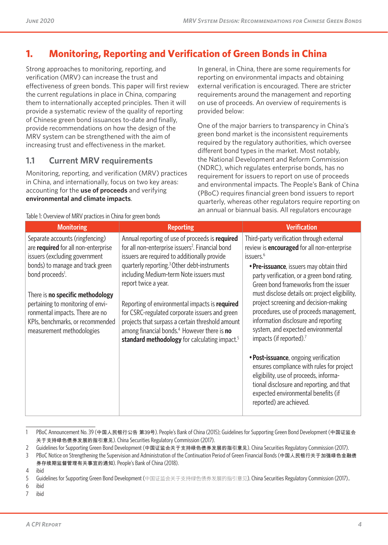# **1. Monitoring, Reporting and Verification of Green Bonds in China**

Strong approaches to monitoring, reporting, and verification (MRV) can increase the trust and effectiveness of green bonds. This paper will first review the current regulations in place in China, comparing them to internationally accepted principles. Then it will provide a systematic review of the quality of reporting of Chinese green bond issuances to-date and finally, provide recommendations on how the design of the MRV system can be strengthened with the aim of increasing trust and effectiveness in the market.

## **1.1 Current MRV requirements**

Table 1: Overview of MRV practices in China for green bonds

Monitoring, reporting, and verification (MRV) practices in China, and internationally, focus on two key areas: accounting for the **use of proceeds** and verifying **environmental and climate impacts**.

In general, in China, there are some requirements for reporting on environmental impacts and obtaining external verification is encouraged. There are stricter requirements around the management and reporting on use of proceeds. An overview of requirements is provided below:

One of the major barriers to transparency in China's green bond market is the inconsistent requirements required by the regulatory authorities, which oversee different bond types in the market. Most notably, the National Development and Reform Commission (NDRC), which regulates enterprise bonds, has no requirement for issuers to report on use of proceeds and environmental impacts. The People's Bank of China (PBoC) requires financial green bond issuers to report quarterly, whereas other regulators require reporting on an annual or biannual basis. All regulators encourage

| <b>Monitoring</b>                                                                                                                                                                                                                                                                                                                                               | <b>Reporting</b>                                                                                                                                                                                                                                                                                                                                                                                                                                                                                                                                                                      | <b>Verification</b>                                                                                                                                                                                                                                                                                                                                                                                                                                                                                                                                                                                                                                                                                                                                                    |
|-----------------------------------------------------------------------------------------------------------------------------------------------------------------------------------------------------------------------------------------------------------------------------------------------------------------------------------------------------------------|---------------------------------------------------------------------------------------------------------------------------------------------------------------------------------------------------------------------------------------------------------------------------------------------------------------------------------------------------------------------------------------------------------------------------------------------------------------------------------------------------------------------------------------------------------------------------------------|------------------------------------------------------------------------------------------------------------------------------------------------------------------------------------------------------------------------------------------------------------------------------------------------------------------------------------------------------------------------------------------------------------------------------------------------------------------------------------------------------------------------------------------------------------------------------------------------------------------------------------------------------------------------------------------------------------------------------------------------------------------------|
| Separate accounts (ringfencing)<br>are required for all non-enterprise<br>issuers (excluding government<br>bonds) to manage and track green<br>bond proceeds <sup>1</sup> .<br>There is <b>no specific methodology</b><br>pertaining to monitoring of envi-<br>ronmental impacts. There are no<br>KPIs, benchmarks, or recommended<br>measurement methodologies | Annual reporting of use of proceeds is required<br>for all non-enterprise issuers <sup>2</sup> . Financial bond<br>issuers are required to additionally provide<br>quarterly reporting. <sup>3</sup> Other debt-instruments<br>including Medium-term Note issuers must<br>report twice a year.<br>Reporting of environmental impacts is required<br>for CSRC-regulated corporate issuers and green<br>projects that surpass a certain threshold amount<br>among financial bonds. <sup>4</sup> However there is <b>no</b><br>standard methodology for calculating impact. <sup>5</sup> | Third-party verification through external<br>review is <b>encouraged</b> for all non-enterprise<br>issuers. <sup>6</sup><br>• Pre-issuance, issuers may obtain third<br>party verification, or a green bond rating.<br>Green bond frameworks from the issuer<br>must disclose details on: project eligibility,<br>project screening and decision-making<br>procedures, use of proceeds management,<br>information disclosure and reporting<br>system, and expected environmental<br>impacts (if reported). <sup>7</sup><br>• Post-issuance, ongoing verification<br>ensures compliance with rules for project<br>eligibility, use of proceeds, informa-<br>tional disclosure and reporting, and that<br>expected environmental benefits (if<br>reported) are achieved. |
|                                                                                                                                                                                                                                                                                                                                                                 |                                                                                                                                                                                                                                                                                                                                                                                                                                                                                                                                                                                       |                                                                                                                                                                                                                                                                                                                                                                                                                                                                                                                                                                                                                                                                                                                                                                        |

#### 1 PBoC Announcement No. 39 (中国人民银行公告 第39号). People's Bank of China (2015); Guidelines for Supporting Green Bond Development (中国证监会 关于支持绿色债券发展的指引意见). China Securities Regulatory Commission (2017).

2 Guidelines for Supporting Green Bond Development (中国证监会关于支持绿色债券发展的指引意见). China Securities Regulatory Commission (2017).

6 ibid

7 ibid

<sup>3</sup> PBoC Notice on Strengthening the Supervision and Administration of the Continuation Period of Green Financial Bonds (中国人民银行关于加强绿色金融债 券存续期监督管理有关事宜的通知). People's Bank of China (2018).

<sup>4</sup> ibid

<sup>5</sup> Guidelines for Supporting Green Bond Development (中国证监会关于支持绿色债券发展的指引意见). China Securities Regulatory Commission (2017)..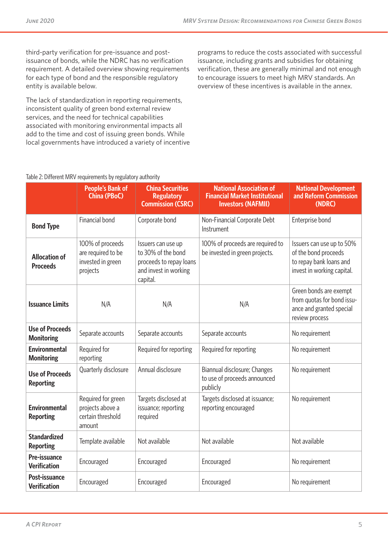third-party verification for pre-issuance and postissuance of bonds, while the NDRC has no verification requirement. A detailed overview showing requirements for each type of bond and the responsible regulatory entity is available below.

The lack of standardization in reporting requirements, inconsistent quality of green bond external review services, and the need for technical capabilities associated with monitoring environmental impacts all add to the time and cost of issuing green bonds. While local governments have introduced a variety of incentive programs to reduce the costs associated with successful issuance, including grants and subsidies for obtaining verification, these are generally minimal and not enough to encourage issuers to meet high MRV standards. An overview of these incentives is available in the annex.

## Table 2: Different MRV requirements by regulatory authority

|                                                                                                                                                                                                                                | <b>People's Bank of</b><br><b>China (PBoC)</b>                        | <b>China Securities</b><br><b>Regulatory</b><br><b>Commission (CSRC)</b> | <b>National Association of</b><br><b>Financial Market Institutional</b><br><b>Investors (NAFMII)</b>       | <b>National Development</b><br>and Reform Commission<br>(NDRC)                                     |
|--------------------------------------------------------------------------------------------------------------------------------------------------------------------------------------------------------------------------------|-----------------------------------------------------------------------|--------------------------------------------------------------------------|------------------------------------------------------------------------------------------------------------|----------------------------------------------------------------------------------------------------|
| <b>Bond Type</b>                                                                                                                                                                                                               | Financial bond                                                        | Corporate bond                                                           | Non-Financial Corporate Debt<br>Instrument                                                                 | Enterprise bond                                                                                    |
| 100% of proceeds<br>Issuers can use up<br>to 30% of the bond<br>are required to be<br><b>Allocation of</b><br>invested in green<br>proceeds to repay loans<br><b>Proceeds</b><br>and invest in working<br>projects<br>capital. |                                                                       | 100% of proceeds are required to<br>be invested in green projects.       | Issuers can use up to 50%<br>of the bond proceeds<br>to repay bank loans and<br>invest in working capital. |                                                                                                    |
| <b>Issuance Limits</b>                                                                                                                                                                                                         | N/A                                                                   | N/A                                                                      | N/A                                                                                                        | Green bonds are exempt<br>from quotas for bond issu-<br>ance and granted special<br>review process |
| <b>Use of Proceeds</b><br><b>Monitoring</b>                                                                                                                                                                                    | Separate accounts                                                     | Separate accounts                                                        | Separate accounts                                                                                          | No requirement                                                                                     |
| <b>Environmental</b><br><b>Monitoring</b>                                                                                                                                                                                      | Required for<br>reporting                                             | Required for reporting                                                   | Required for reporting                                                                                     | No requirement                                                                                     |
| <b>Use of Proceeds</b><br><b>Reporting</b>                                                                                                                                                                                     | Quarterly disclosure                                                  | Annual disclosure                                                        | Biannual disclosure; Changes<br>to use of proceeds announced<br>publicly                                   | No requirement                                                                                     |
| <b>Environmental</b><br><b>Reporting</b>                                                                                                                                                                                       | Required for green<br>projects above a<br>certain threshold<br>amount | Targets disclosed at<br>issuance; reporting<br>required                  | Targets disclosed at issuance;<br>reporting encouraged                                                     | No requirement                                                                                     |
| <b>Standardized</b><br><b>Reporting</b>                                                                                                                                                                                        | Template available                                                    | Not available                                                            | Not available                                                                                              | Not available                                                                                      |
| Pre-issuance<br><b>Verification</b>                                                                                                                                                                                            | Encouraged                                                            | Encouraged                                                               | Encouraged                                                                                                 | No requirement                                                                                     |
| Post-issuance<br><b>Verification</b>                                                                                                                                                                                           | Encouraged                                                            | Encouraged                                                               | Encouraged                                                                                                 | No requirement                                                                                     |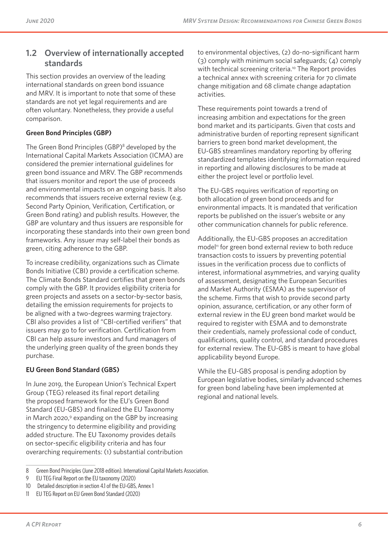## **1.2 Overview of internationally accepted standards**

This section provides an overview of the leading international standards on green bond issuance and MRV. It is important to note that some of these standards are not yet legal requirements and are often voluntary. Nonetheless, they provide a useful comparison.

### **Green Bond Principles (GBP)**

The Green Bond Principles (GBP)<sup>8</sup> developed by the International Capital Markets Association (ICMA) are considered the premier international guidelines for green bond issuance and MRV. The GBP recommends that issuers monitor and report the use of proceeds and environmental impacts on an ongoing basis. It also recommends that issuers receive external review (e.g. Second Party Opinion, Verification, Certification, or Green Bond rating) and publish results. However, the GBP are voluntary and thus issuers are responsible for incorporating these standards into their own green bond frameworks. Any issuer may self-label their bonds as green, citing adherence to the GBP.

To increase credibility, organizations such as Climate Bonds Initiative (CBI) provide a certification scheme. The Climate Bonds Standard certifies that green bonds comply with the GBP. It provides eligibility criteria for green projects and assets on a sector-by-sector basis, detailing the emission requirements for projects to be aligned with a two-degrees warming trajectory. CBI also provides a list of "CBI-certified verifiers" that issuers may go to for verification. Certification from CBI can help assure investors and fund managers of the underlying green quality of the green bonds they purchase.

#### **EU Green Bond Standard (GBS)**

In June 2019, the European Union's Technical Expert Group (TEG) released its final report detailing the proposed framework for the EU's Green Bond Standard (EU-GBS) and finalized the EU Taxonomy in March 2020,<sup>9</sup> expanding on the GBP by increasing the stringency to determine eligibility and providing added structure. The EU Taxonomy provides details on sector-specific eligibility criteria and has four overarching requirements: (1) substantial contribution to environmental objectives, (2) do-no-significant harm (3) comply with minimum social safeguards; (4) comply with technical screening criteria.<sup>10</sup> The Report provides a technical annex with screening criteria for 70 climate change mitigation and 68 climate change adaptation activities.

These requirements point towards a trend of increasing ambition and expectations for the green bond market and its participants. Given that costs and administrative burden of reporting represent significant barriers to green bond market development, the EU-GBS streamlines mandatory reporting by offering standardized templates identifying information required in reporting and allowing disclosures to be made at either the project level or portfolio level.

The EU-GBS requires verification of reporting on both allocation of green bond proceeds and for environmental impacts. It is mandated that verification reports be published on the issuer's website or any other communication channels for public reference.

Additionally, the EU-GBS proposes an accreditation model<sup>11</sup> for green bond external review to both reduce transaction costs to issuers by preventing potential issues in the verification process due to conflicts of interest, informational asymmetries, and varying quality of assessment, designating the European Securities and Market Authority (ESMA) as the supervisor of the scheme. Firms that wish to provide second party opinion, assurance, certification, or any other form of external review in the EU green bond market would be required to register with ESMA and to demonstrate their credentials, namely professional code of conduct, qualifications, quality control, and standard procedures for external review. The EU-GBS is meant to have global applicability beyond Europe.

While the EU-GBS proposal is pending adoption by European legislative bodies, similarly advanced schemes for green bond labeling have been implemented at regional and national levels.

<sup>8</sup> Green Bond Principles (June 2018 edition). International Capital Markets Association.

<sup>9</sup> EU TEG Final Report on the EU taxonomy (2020)

<sup>10</sup> Detailed description in section 4.1 of the EU-GBS, Annex 1

<sup>11</sup> EU TEG Report on EU Green Bond Standard (2020)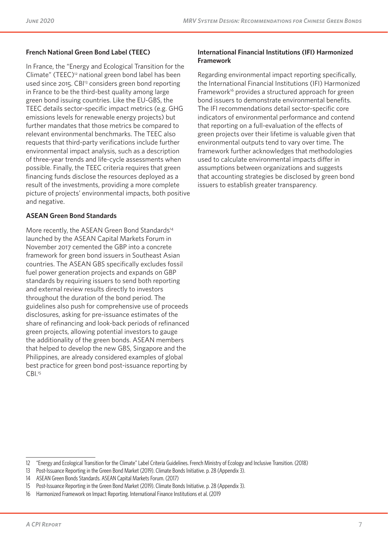### **French National Green Bond Label (TEEC)**

In France, the "Energy and Ecological Transition for the Climate" (TEEC)12 national green bond label has been used since 2015. CBI<sup>13</sup> considers green bond reporting in France to be the third-best quality among large green bond issuing countries. Like the EU-GBS, the TEEC details sector-specific impact metrics (e.g. GHG emissions levels for renewable energy projects) but further mandates that those metrics be compared to relevant environmental benchmarks. The TEEC also requests that third-party verifications include further environmental impact analysis, such as a description of three-year trends and life-cycle assessments when possible. Finally, the TEEC criteria requires that green financing funds disclose the resources deployed as a result of the investments, providing a more complete picture of projects' environmental impacts, both positive and negative.

#### **ASEAN Green Bond Standards**

More recently, the ASEAN Green Bond Standards<sup>14</sup> launched by the ASEAN Capital Markets Forum in November 2017 cemented the GBP into a concrete framework for green bond issuers in Southeast Asian countries. The ASEAN GBS specifically excludes fossil fuel power generation projects and expands on GBP standards by requiring issuers to send both reporting and external review results directly to investors throughout the duration of the bond period. The guidelines also push for comprehensive use of proceeds disclosures, asking for pre-issuance estimates of the share of refinancing and look-back periods of refinanced green projects, allowing potential investors to gauge the additionality of the green bonds. ASEAN members that helped to develop the new GBS, Singapore and the Philippines, are already considered examples of global best practice for green bond post-issuance reporting by CBI.<sup>15</sup>

#### **International Financial Institutions (IFI) Harmonized Framework**

Regarding environmental impact reporting specifically, the International Financial Institutions (IFI) Harmonized Framework<sup>16</sup> provides a structured approach for green bond issuers to demonstrate environmental benefits. The IFI recommendations detail sector-specific core indicators of environmental performance and contend that reporting on a full-evaluation of the effects of green projects over their lifetime is valuable given that environmental outputs tend to vary over time. The framework further acknowledges that methodologies used to calculate environmental impacts differ in assumptions between organizations and suggests that accounting strategies be disclosed by green bond issuers to establish greater transparency.

<sup>12</sup> "Energy and Ecological Transition for the Climate" Label Criteria Guidelines. French Ministry of Ecology and Inclusive Transition. (2018)

<sup>13</sup> Post-Issuance Reporting in the Green Bond Market (2019). Climate Bonds Initiative. p. 28 (Appendix 3).

<sup>14</sup> ASEAN Green Bonds Standards. ASEAN Capital Markets Forum. (2017)

<sup>15</sup> Post-Issuance Reporting in the Green Bond Market (2019). Climate Bonds Initiative. p. 28 (Appendix 3).

<sup>16</sup> Harmonized Framework on Impact Reporting. International Finance Institutions et al. (2019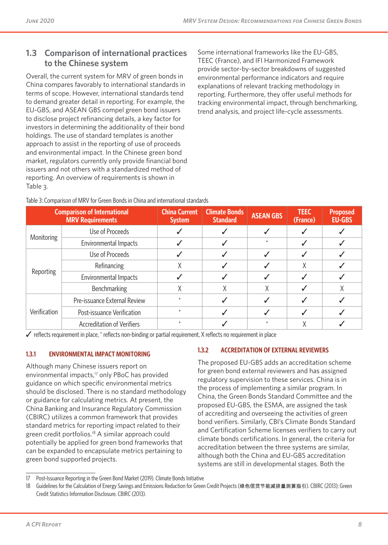## **1.3 Comparison of international practices to the Chinese system**

Overall, the current system for MRV of green bonds in China compares favorably to international standards in terms of scope. However, international standards tend to demand greater detail in reporting. For example, the EU-GBS, and ASEAN GBS compel green bond issuers to disclose project refinancing details, a key factor for investors in determining the additionality of their bond holdings. The use of standard templates is another approach to assist in the reporting of use of proceeds and environmental impact. In the Chinese green bond market, regulators currently only provide financial bond issuers and not others with a standardized method of reporting. An overview of requirements is shown in Table 3.

Some international frameworks like the EU-GBS, TEEC (France), and IFI Harmonized Framework provide sector-by-sector breakdowns of suggested environmental performance indicators and require explanations of relevant tracking methodology in reporting. Furthermore, they offer useful methods for tracking environmental impact, through benchmarking, trend analysis, and project life-cycle assessments.

| <b>Comparison of International</b><br><b>MRV Requirements</b> |                                   | <b>China Current</b><br><b>System</b> | <b>Climate Bonds</b><br><b>Standard</b> | <b>ASEAN GBS</b> | <b>TEEC</b><br>(France) | <b>Proposed</b><br><b>EU-GBS</b> |
|---------------------------------------------------------------|-----------------------------------|---------------------------------------|-----------------------------------------|------------------|-------------------------|----------------------------------|
| <b>Monitoring</b>                                             | Use of Proceeds                   |                                       |                                         |                  |                         |                                  |
|                                                               | Environmental Impacts             |                                       |                                         |                  |                         |                                  |
|                                                               | Use of Proceeds                   |                                       |                                         |                  |                         |                                  |
|                                                               | Refinancing                       | Χ                                     |                                         |                  | χ                       |                                  |
| Reporting                                                     | Environmental Impacts             |                                       |                                         |                  |                         |                                  |
|                                                               | Benchmarking                      | Χ                                     | Χ                                       | Χ                |                         |                                  |
| Verification                                                  | Pre-issuance External Review      | $\star$                               |                                         |                  |                         |                                  |
|                                                               | Post-issuance Verification        |                                       |                                         |                  |                         |                                  |
|                                                               | <b>Accreditation of Verifiers</b> |                                       |                                         |                  |                         |                                  |

Table 3: Comparison of MRV for Green Bonds in China and international standards

 $\checkmark$  reflects requirement in place,  $*$  reflects non-binding or partial requirement, X reflects no requirement in place

## **1.3.1 ENVIRONMENTAL IMPACT MONITORING**

Although many Chinese issuers report on environmental impacts,<sup>17</sup> only PBoC has provided guidance on which specific environmental metrics should be disclosed. There is no standard methodology or guidance for calculating metrics. At present, the China Banking and Insurance Regulatory Commission (CBIRC) utilizes a common framework that provides standard metrics for reporting impact related to their green credit portfolios.<sup>18</sup> A similar approach could potentially be applied for green bond frameworks that can be expanded to encapsulate metrics pertaining to green bond supported projects.

## **1.3.2 ACCREDITATION OF EXTERNAL REVIEWERS**

The proposed EU-GBS adds an accreditation scheme for green bond external reviewers and has assigned regulatory supervision to these services. China is in the process of implementing a similar program. In China, the Green Bonds Standard Committee and the proposed EU-GBS, the ESMA, are assigned the task of accrediting and overseeing the activities of green bond verifiers. Similarly, CBI's Climate Bonds Standard and Certification Scheme licenses verifiers to carry out climate bonds certifications. In general, the criteria for accreditation between the three systems are similar, although both the China and EU-GBS accreditation systems are still in developmental stages. Both the

<sup>17</sup> Post-Issuance Reporting in the Green Bond Market (2019). Climate Bonds Initiative

<sup>18</sup> Guidelines for the Calculation of Energy Savings and Emissions Reduction for Green Credit Projects (绿色信贷节能减排量测算指引). CBIRC (2013); Green Credit Statistics Information Disclosure. CBIRC (2013).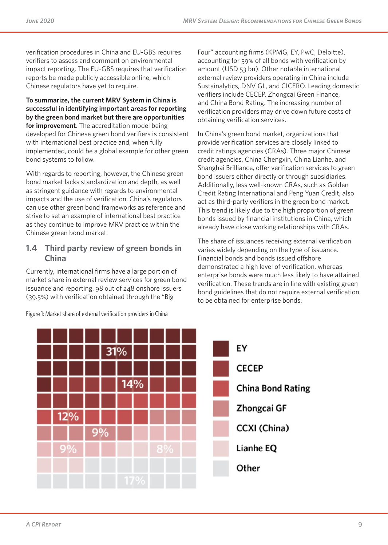verification procedures in China and EU-GBS requires verifiers to assess and comment on environmental impact reporting. The EU-GBS requires that verification reports be made publicly accessible online, which Chinese regulators have yet to require.

**To summarize, the current MRV System in China is successful in identifying important areas for reporting by the green bond market but there are opportunities for improvement**. The accreditation model being developed for Chinese green bond verifiers is consistent with international best practice and, when fully implemented, could be a global example for other green bond systems to follow.

With regards to reporting, however, the Chinese green bond market lacks standardization and depth, as well as stringent guidance with regards to environmental impacts and the use of verification. China's regulators can use other green bond frameworks as reference and strive to set an example of international best practice as they continue to improve MRV practice within the Chinese green bond market.

## **1.4 Third party review of green bonds in China**

Currently, international firms have a large portion of market share in external review services for green bond issuance and reporting. 98 out of 248 onshore issuers (39.5%) with verification obtained through the "Big

Four" accounting firms (KPMG, EY, PwC, Deloitte), accounting for 59% of all bonds with verification by amount (USD 53 bn). Other notable international external review providers operating in China include Sustainalytics, DNV GL, and CICERO. Leading domestic verifiers include CECEP, Zhongcai Green Finance, and China Bond Rating. The increasing number of verification providers may drive down future costs of obtaining verification services.

In China's green bond market, organizations that provide verification services are closely linked to credit ratings agencies (CRAs). Three major Chinese credit agencies, China Chengxin, China Lianhe, and Shanghai Brilliance, offer verification services to green bond issuers either directly or through subsidiaries. Additionally, less well-known CRAs, such as Golden Credit Rating International and Peng Yuan Credit, also act as third-party verifiers in the green bond market. This trend is likely due to the high proportion of green bonds issued by financial institutions in China, which already have close working relationships with CRAs.

The share of issuances receiving external verification varies widely depending on the type of issuance. Financial bonds and bonds issued offshore demonstrated a high level of verification, whereas enterprise bonds were much less likely to have attained verification. These trends are in line with existing green bond guidelines that do not require external verification to be obtained for enterprise bonds.



Figure 1: Market share of external verification providers in China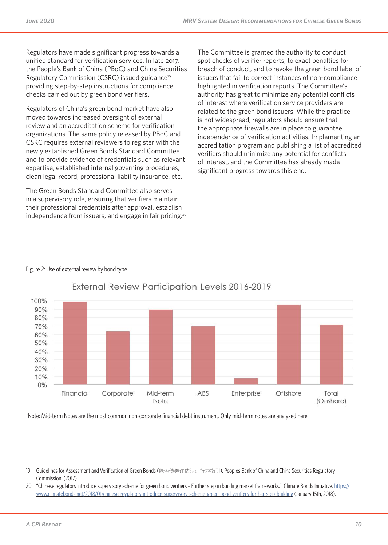Regulators have made significant progress towards a unified standard for verification services. In late 2017, the People's Bank of China (PBoC) and China Securities Regulatory Commission (CSRC) issued guidance<sup>19</sup> providing step-by-step instructions for compliance checks carried out by green bond verifiers.

Regulators of China's green bond market have also moved towards increased oversight of external review and an accreditation scheme for verification organizations. The same policy released by PBoC and CSRC requires external reviewers to register with the newly established Green Bonds Standard Committee and to provide evidence of credentials such as relevant expertise, established internal governing procedures, clean legal record, professional liability insurance, etc.

The Green Bonds Standard Committee also serves in a supervisory role, ensuring that verifiers maintain their professional credentials after approval, establish independence from issuers, and engage in fair pricing.20 The Committee is granted the authority to conduct spot checks of verifier reports, to exact penalties for breach of conduct, and to revoke the green bond label of issuers that fail to correct instances of non-compliance highlighted in verification reports. The Committee's authority has great to minimize any potential conflicts of interest where verification service providers are related to the green bond issuers. While the practice is not widespread, regulators should ensure that the appropriate firewalls are in place to guarantee independence of verification activities. Implementing an accreditation program and publishing a list of accredited verifiers should minimize any potential for conflicts of interest, and the Committee has already made significant progress towards this end.

#### Figure 2: Use of external review by bond type



## External Review Participation Levels 2016-2019

\*Note: Mid-term Notes are the most common non-corporate financial debt instrument. Only mid-term notes are analyzed here

<sup>19</sup> Guidelines for Assessment and Verification of Green Bonds (绿色债券评估认证行为指引). Peoples Bank of China and China Securities Regulatory Commission. (2017).

<sup>20 &</sup>quot;Chinese regulators introduce supervisory scheme for green bond verifiers - Further step in building market frameworks.". Climate Bonds Initiative. https:// www.climatebonds.net/2018/01/chinese-regulators-introduce-supervisory-scheme-green-bond-verifiers-further-step-building (January 15th, 2018).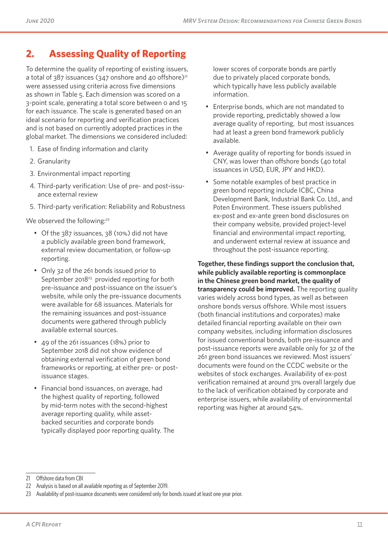# **2. Assessing Quality of Reporting**

To determine the quality of reporting of existing issuers, a total of  $387$  issuances ( $347$  onshore and 40 offshore)<sup>21</sup> were assessed using criteria across five dimensions as shown in Table 5. Each dimension was scored on a 3-point scale, generating a total score between 0 and 15 for each issuance. The scale is generated based on an ideal scenario for reporting and verification practices and is not based on currently adopted practices in the global market. The dimensions we considered included:

- 1. Ease of finding information and clarity
- 2. Granularity
- 3. Environmental impact reporting
- 4. Third-party verification: Use of pre- and post-issuance external review
- 5. Third-party verification: Reliability and Robustness

We observed the following:<sup>22</sup>

- Of the 387 issuances, 38 (10%) did not have a publicly available green bond framework, external review documentation, or follow-up reporting.
- Only 32 of the 261 bonds issued prior to September 2018<sup>23</sup> provided reporting for both pre-issuance and post-issuance on the issuer's website, while only the pre-issuance documents were available for 68 issuances. Materials for the remaining issuances and post-issuance documents were gathered through publicly available external sources.
- 49 of the 261 issuances (18%) prior to September 2018 did not show evidence of obtaining external verification of green bond frameworks or reporting, at either pre- or postissuance stages.
- Financial bond issuances, on average, had the highest quality of reporting, followed by mid-term notes with the second-highest average reporting quality, while assetbacked securities and corporate bonds typically displayed poor reporting quality. The

lower scores of corporate bonds are partly due to privately placed corporate bonds, which typically have less publicly available information.

- Enterprise bonds, which are not mandated to provide reporting, predictably showed a low average quality of reporting, but most issuances had at least a green bond framework publicly available.
- Average quality of reporting for bonds issued in CNY, was lower than offshore bonds (40 total issuances in USD, EUR, JPY and HKD).
- Some notable examples of best practice in green bond reporting include ICBC, China Development Bank, Industrial Bank Co. Ltd., and Poten Environment. These issuers published ex-post and ex-ante green bond disclosures on their company website, provided project-level financial and environmental impact reporting, and underwent external review at issuance and throughout the post-issuance reporting.

**Together, these findings support the conclusion that, while publicly available reporting is commonplace in the Chinese green bond market, the quality of transparency could be improved.** The reporting quality varies widely across bond types, as well as between onshore bonds versus offshore. While most issuers (both financial institutions and corporates) make detailed financial reporting available on their own company websites, including information disclosures for issued conventional bonds, both pre-issuance and post-issuance reports were available only for 32 of the 261 green bond issuances we reviewed. Most issuers' documents were found on the CCDC website or the websites of stock exchanges. Availability of ex-post verification remained at around 31% overall largely due to the lack of verification obtained by corporate and enterprise issuers, while availability of environmental reporting was higher at around 54%.

<sup>21</sup> Offshore data from CBI

<sup>22</sup> Analysis is based on all available reporting as of September 2019.

<sup>23</sup> Availability of post-issuance documents were considered only for bonds issued at least one year prior.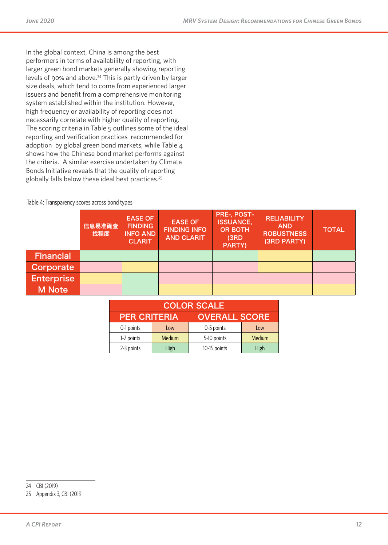In the global context, China is among the best performers in terms of availability of reporting, with larger green bond markets generally showing reporting levels of 90% and above.<sup>24</sup> This is partly driven by larger size deals, which tend to come from experienced larger issuers and benefit from a comprehensive monitoring system established within the institution. However, high frequency or availability of reporting does not necessarily correlate with higher quality of reporting. The scoring criteria in Table 5 outlines some of the ideal reporting and verification practices recommended for adoption by global green bond markets, while Table 4 shows how the Chinese bond market performs against the criteria. A similar exercise undertaken by Climate Bonds Initiative reveals that the quality of reporting globally falls below these ideal best practices.<sup>25</sup>

Table 4: Transparency scores across bond types

|                   | 信息易准确查<br>找程度 | <b>EASE OF</b><br><b>FINDING</b><br><b>INFO AND</b><br><b>CLARIT</b> | <b>EASE OF</b><br><b>FINDING INFO</b><br><b>AND CLARIT</b> | PRE-, POST-<br><b>ISSUANCE,</b><br><b>OR BOTH</b><br>(3RD)<br><b>PARTY)</b> | <b>RELIABILITY</b><br><b>AND</b><br><b>ROBUSTNESS</b><br>(3RD PARTY) | <b>TOTAL</b> |
|-------------------|---------------|----------------------------------------------------------------------|------------------------------------------------------------|-----------------------------------------------------------------------------|----------------------------------------------------------------------|--------------|
| <b>Financial</b>  |               |                                                                      |                                                            |                                                                             |                                                                      |              |
| Corporate         |               |                                                                      |                                                            |                                                                             |                                                                      |              |
| <b>Enterprise</b> |               |                                                                      |                                                            |                                                                             |                                                                      |              |
| <b>M</b> Note     |               |                                                                      |                                                            |                                                                             |                                                                      |              |

| <b>COLOR SCALE</b>                          |      |              |               |  |  |
|---------------------------------------------|------|--------------|---------------|--|--|
| <b>OVERALL SCORE</b><br><b>PER CRITERIA</b> |      |              |               |  |  |
| 0-1 points                                  | Low  | 0-5 points   | Low           |  |  |
| 1-2 points<br>Medium                        |      | 5-10 points  | <b>Medium</b> |  |  |
| 2-3 points                                  | High | 10-15 points | High          |  |  |

<sup>24</sup> CBI (2019)

<sup>25</sup> Appendix 3, CBI (2019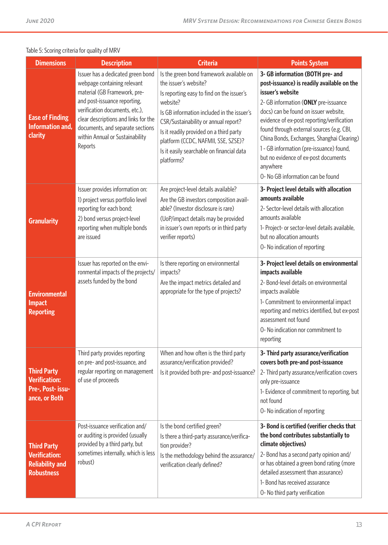| <b>Dimensions</b>                                                                         | <b>Description</b>                                                                                                                                                                                                                                                                           | <b>Criteria</b>                                                                                                                                                                                                                                                                                                                                               | <b>Points System</b>                                                                                                                                                                                                                                                                                                                                                                                                                                             |
|-------------------------------------------------------------------------------------------|----------------------------------------------------------------------------------------------------------------------------------------------------------------------------------------------------------------------------------------------------------------------------------------------|---------------------------------------------------------------------------------------------------------------------------------------------------------------------------------------------------------------------------------------------------------------------------------------------------------------------------------------------------------------|------------------------------------------------------------------------------------------------------------------------------------------------------------------------------------------------------------------------------------------------------------------------------------------------------------------------------------------------------------------------------------------------------------------------------------------------------------------|
| <b>Ease of Finding</b><br>Information and,<br>clarity                                     | Issuer has a dedicated green bond<br>webpage containing relevant<br>material (GB Framework, pre-<br>and post-issuance reporting,<br>verification documents, etc.),<br>clear descriptions and links for the<br>documents, and separate sections<br>within Annual or Sustainability<br>Reports | Is the green bond framework available on<br>the issuer's website?<br>Is reporting easy to find on the issuer's<br>website?<br>Is GB information included in the issuer's<br>CSR/Sustainability or annual report?<br>Is it readily provided on a third party<br>platform (CCDC, NAFMII, SSE, SZSE)?<br>Is it easily searchable on financial data<br>platforms? | 3- GB information (BOTH pre- and<br>post-issuance) is readily available on the<br>issuer's website<br>2- GB information (ONLY pre-issuance<br>docs) can be found on issuer website,<br>evidence of ex-post reporting/verification<br>found through external sources (e.g. CBI,<br>China Bonds, Exchanges, Shanghai Clearing)<br>1 - GB information (pre-issuance) found,<br>but no evidence of ex-post documents<br>anywhere<br>O-No GB information can be found |
| <b>Granularity</b>                                                                        | Issuer provides information on:<br>1) project versus portfolio level<br>reporting for each bond;<br>2) bond versus project-level<br>reporting when multiple bonds<br>are issued                                                                                                              | Are project-level details available?<br>Are the GB investors composition avail-<br>able? (Investor disclosure is rare)<br>(UoP/impact details may be provided<br>in issuer's own reports or in third party<br>verifier reports)                                                                                                                               | 3- Project level details with allocation<br>amounts available<br>2- Sector-level details with allocation<br>amounts available<br>1- Project- or sector-level details available,<br>but no allocation amounts<br>O-No indication of reporting                                                                                                                                                                                                                     |
| <b>Environmental</b><br><b>Impact</b><br><b>Reporting</b>                                 | Issuer has reported on the envi-<br>ronmental impacts of the projects/<br>assets funded by the bond                                                                                                                                                                                          | Is there reporting on environmental<br>impacts?<br>Are the impact metrics detailed and<br>appropriate for the type of projects?                                                                                                                                                                                                                               | 3- Project level details on environmental<br>impacts available<br>2- Bond-level details on environmental<br>impacts available<br>1- Commitment to environmental impact<br>reporting and metrics identified, but ex-post<br>assessment not found<br>O- No indication nor commitment to<br>reporting                                                                                                                                                               |
| <b>Third Party</b><br><b>Verification:</b><br>Pre-, Post- issu-<br>ance, or Both          | Third party provides reporting<br>on pre- and post-issuance, and<br>regular reporting on management<br>of use of proceeds                                                                                                                                                                    | When and how often is the third party<br>assurance/verification provided?<br>Is it provided both pre- and post-issuance?                                                                                                                                                                                                                                      | 3- Third party assurance/verification<br>covers both pre-and post-issuance<br>2- Third party assurance/verification covers<br>only pre-issuance<br>1- Evidence of commitment to reporting, but<br>not found<br>O-No indication of reporting                                                                                                                                                                                                                      |
| <b>Third Party</b><br><b>Verification:</b><br><b>Reliability and</b><br><b>Robustness</b> | Post-issuance verification and/<br>or auditing is provided (usually<br>provided by a third party, but<br>sometimes internally, which is less<br>robust)                                                                                                                                      | Is the bond certified green?<br>Is there a third-party assurance/verifica-<br>tion provider?<br>Is the methodology behind the assurance/<br>verification clearly defined?                                                                                                                                                                                     | 3- Bond is certified (verifier checks that<br>the bond contributes substantially to<br>climate objectives)<br>2- Bond has a second party opinion and/<br>or has obtained a green bond rating (more<br>detailed assessment than assurance)<br>1- Bond has received assurance<br>O- No third party verification                                                                                                                                                    |

#### Table 5: Scoring criteria for quality of MRV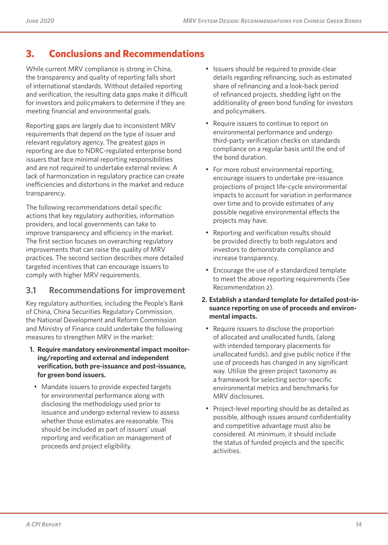# **3. Conclusions and Recommendations**

While current MRV compliance is strong in China, the transparency and quality of reporting falls short of international standards. Without detailed reporting and verification, the resulting data gaps make it difficult for investors and policymakers to determine if they are meeting financial and environmental goals.

Reporting gaps are largely due to inconsistent MRV requirements that depend on the type of issuer and relevant regulatory agency. The greatest gaps in reporting are due to NDRC-regulated enterprise bond issuers that face minimal reporting responsibilities and are not required to undertake external review. A lack of harmonization in regulatory practice can create inefficiencies and distortions in the market and reduce transparency.

The following recommendations detail specific actions that key regulatory authorities, information providers, and local governments can take to improve transparency and efficiency in the market. The first section focuses on overarching regulatory improvements that can raise the quality of MRV practices. The second section describes more detailed targeted incentives that can encourage issuers to comply with higher MRV requirements.

## **3.1 Recommendations for improvement**

Key regulatory authorities, including the People's Bank of China, China Securities Regulatory Commission, the National Development and Reform Commission and Ministry of Finance could undertake the following measures to strengthen MRV in the market:

- **1. Require mandatory environmental impact monitoring/reporting and external and independent verification, both pre-issuance and post-issuance, for green bond issuers.**
- Mandate issuers to provide expected targets for environmental performance along with disclosing the methodology used prior to issuance and undergo external review to assess whether those estimates are reasonable. This should be included as part of issuers' usual reporting and verification on management of proceeds and project eligibility.
- Issuers should be required to provide clear details regarding refinancing, such as estimated share of refinancing and a look-back period of refinanced projects, shedding light on the additionality of green bond funding for investors and policymakers.
- Require issuers to continue to report on environmental performance and undergo third-party verification checks on standards compliance on a regular basis until the end of the bond duration.
- For more robust environmental reporting, encourage issuers to undertake pre-issuance projections of project life-cycle environmental impacts to account for variation in performance over time and to provide estimates of any possible negative environmental effects the projects may have.
- Reporting and verification results should be provided directly to both regulators and investors to demonstrate compliance and increase transparency.
- Encourage the use of a standardized template to meet the above reporting requirements (See Recommendation 2).
- **2. Establish a standard template for detailed post-issuance reporting on use of proceeds and environmental impacts.**
	- Require issuers to disclose the proportion of allocated and unallocated funds, (along with intended temporary placements for unallocated funds), and give public notice if the use of proceeds has changed in any significant way. Utilize the green project taxonomy as a framework for selecting sector-specific environmental metrics and benchmarks for MRV disclosures.
- Project-level reporting should be as detailed as possible, although issues around confidentiality and competitive advantage must also be considered. At minimum, it should include the status of funded projects and the specific activities.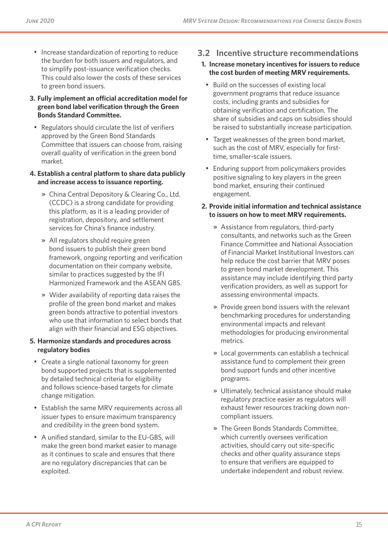- Increase standardization of reporting to reduce the burden for both issuers and regulators, and to simplify post-issuance verification checks. This could also lower the costs of these services to green bond issuers.
- **3. Fully implement an official accreditation model for green bond label verification through the Green Bonds Standard Committee.**
- Regulators should circulate the list of verifiers approved by the Green Bond Standards Committee that issuers can choose from, raising overall quality of verification in the green bond market.
- **4. Establish a central platform to share data publicly and increase access to issuance reporting.** 
	- » China Central Depository & Clearing Co., Ltd. (CCDC) is a strong candidate for providing this platform, as it is a leading provider of registration, depository, and settlement services for China's finance industry.
	- » All regulators should require green bond issuers to publish their green bond framework, ongoing reporting and verification documentation on their company website, similar to practices suggested by the IFI Harmonized Framework and the ASEAN GBS.
	- » Wider availability of reporting data raises the profile of the green bond market and makes green bonds attractive to potential investors who use that information to select bonds that align with their financial and ESG objectives.

#### **5. Harmonize standards and procedures across regulatory bodies**

- Create a single national taxonomy for green bond supported projects that is supplemented by detailed technical criteria for eligibility and follows science-based targets for climate change mitigation.
- Establish the same MRV requirements across all issuer types to ensure maximum transparency and credibility in the green bond system.
- A unified standard, similar to the EU-GBS, will make the green bond market easier to manage as it continues to scale and ensures that there are no regulatory discrepancies that can be exploited.

## **3.2 Incentive structure recommendations**

## **1. Increase monetary incentives for issuers to reduce the cost burden of meeting MRV requirements.**

- Build on the successes of existing local government programs that reduce issuance costs, including grants and subsidies for obtaining verification and certification. The share of subsidies and caps on subsidies should be raised to substantially increase participation.
- Target weaknesses of the green bond market, such as the cost of MRV, especially for firsttime, smaller-scale issuers.
- Enduring support from policymakers provides positive signaling to key players in the green bond market, ensuring their continued engagement.
- **2. Provide initial information and technical assistance to issuers on how to meet MRV requirements.**
	- » Assistance from regulators, third-party consultants, and networks such as the Green Finance Committee and National Association of Financial Market Institutional Investors can help reduce the cost barrier that MRV poses to green bond market development. This assistance may include identifying third party verification providers, as well as support for assessing environmental impacts.
	- » Provide green bond issuers with the relevant benchmarking procedures for understanding environmental impacts and relevant methodologies for producing environmental metrics.
	- » Local governments can establish a technical assistance fund to complement their green bond support funds and other incentive programs.
	- » Ultimately, technical assistance should make regulatory practice easier as regulators will exhaust fewer resources tracking down noncompliant issuers.
	- » The Green Bonds Standards Committee, which currently oversees verification activities, should carry out site-specific checks and other quality assurance steps to ensure that verifiers are equipped to undertake independent and robust review.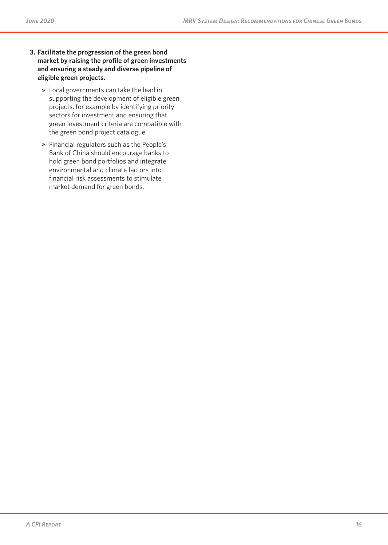- **3. Facilitate the progression of the green bond market by raising the profile of green investments and ensuring a steady and diverse pipeline of eligible green projects.**
	- » Local governments can take the lead in supporting the development of eligible green projects, for example by identifying priority sectors for investment and ensuring that green investment criteria are compatible with the green bond project catalogue.
	- » Financial regulators such as the People's Bank of China should encourage banks to hold green bond portfolios and integrate environmental and climate factors into financial risk assessments to stimulate market demand for green bonds.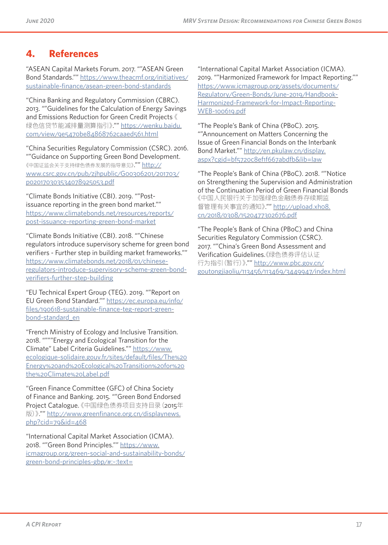# **4. References**

"ASEAN Capital Markets Forum. 2017. ""ASEAN Green Bond Standards."" https://www.theacmf.org/initiatives/ sustainable-finance/asean-green-bond-standards

"China Banking and Regulatory Commission (CBRC). 2013. ""Guidelines for the Calculation of Energy Savings and Emissions Reduction for Green Credit Projects 《 绿色信贷节能减排量测算指引》."" https://wenku.baidu. com/view/9e5470be84868762caaed561.html

"China Securities Regulatory Commission (CSRC). 2016. ""Guidance on Supporting Green Bond Development. 《中国证监会关于支持绿色债券发展的指导意见》."" http:// www.csrc.gov.cn/pub/zjhpublic/G00306201/201703/ p020170303534078925053.pdf

"Climate Bonds Initiative (CBI). 2019. ""Postissuance reporting in the green bond market."" https://www.climatebonds.net/resources/reports/ post-issuance-reporting-green-bond-market

"Climate Bonds Initiative (CBI). 2018. ""Chinese regulators introduce supervisory scheme for green bond verifiers - Further step in building market frameworks."" https://www.climatebonds.net/2018/01/chineseregulators-introduce-supervisory-scheme-green-bondverifiers-further-step-building

"EU Technical Expert Group (TEG). 2019. ""Report on EU Green Bond Standard."" https://ec.europa.eu/info/ files/190618-sustainable-finance-teg-report-greenbond-standard\_en

"French Ministry of Ecology and Inclusive Transition. 2018. """"Energy and Ecological Transition for the Climate" Label Criteria Guidelines."" https://www. ecologique-solidaire.gouv.fr/sites/default/files/The%20 Energy%20and%20Ecological%20Transition%20for%20 the%20Climate%20Label.pdf

"Green Finance Committee (GFC) of China Society of Finance and Banking. 2015. ""Green Bond Endorsed Project Catalogue. 《中国绿色债券项目支持目录(2015年 版)》."" http://www.greenfinance.org.cn/displaynews.  $php?cid=79&\text{did}=468$ 

"International Capital Market Association (ICMA). 2018. ""Green Bond Principles."" https://www. icmagroup.org/green-social-and-sustainability-bonds/ green-bond-principles-gbp/#:~:text=

"International Capital Market Association (ICMA). 2019. ""Harmonized Framework for Impact Reporting."" https://www.icmagroup.org/assets/documents/ Regulatory/Green-Bonds/June-2019/Handbook-Harmonized-Framework-for-Impact-Reporting-WEB-100619.pdf

"The People's Bank of China (PBoC). 2015. ""Announcement on Matters Concerning the Issue of Green Financial Bonds on the Interbank Bond Market."" http://en.pkulaw.cn/display. aspx?cgid=bf5720c8ef1f667abdfb&lib=law

"The People's Bank of China (PBoC). 2018. ""Notice on Strengthening the Supervision and Administration of the Continuation Period of Green Financial Bonds 《中国人民银行关于加强绿色金融债券存续期监 督管理有关事宜的通知》."" http://upload.xh08. cn/2018/0308/1520477302676.pdf

"The People's Bank of China (PBoC) and China Securities Regulatory Commission (CSRC). 2017. ""China's Green Bond Assessment and Verification Guidelines.《绿色债券评估认证 行为指引(暂行)》."" http://www.pbc.gov.cn/ goutongjiaoliu/113456/113469/3449947/index.html